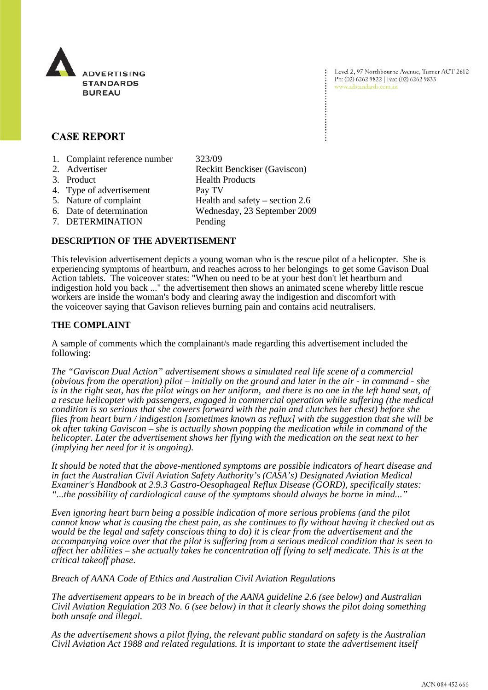

Level 2, 97 Northbourne Avenue, Turner ACT 2612 Ph: (02) 6262 9822 | Fax: (02) 6262 9833 www.adstandards.com.au

# **CASE REPORT**

- 1. Complaint reference number 323/09
- 2. Advertiser Reckitt Benckiser (Gaviscon) 3. Product Health Products 4. Type of advertisement Pay TV 5. Nature of complaint Health and safety – section 2.6 6. Date of determination Wednesday, 23 September 2009 7. DETERMINATION Pending

## **DESCRIPTION OF THE ADVERTISEMENT**

This television advertisement depicts a young woman who is the rescue pilot of a helicopter. She is experiencing symptoms of heartburn, and reaches across to her belongings to get some Gavison Dual Action tablets. The voiceover states: "When ou need to be at your best don't let heartburn and indigestion hold you back ..." the advertisement then shows an animated scene whereby little rescue workers are inside the woman's body and clearing away the indigestion and discomfort with the voiceover saying that Gavison relieves burning pain and contains acid neutralisers.

### **THE COMPLAINT**

A sample of comments which the complainant/s made regarding this advertisement included the following:

*The "Gaviscon Dual Action" advertisement shows a simulated real life scene of a commercial (obvious from the operation) pilot – initially on the ground and later in the air - in command - she is in the right seat, has the pilot wings on her uniform, and there is no one in the left hand seat, of a rescue helicopter with passengers, engaged in commercial operation while suffering (the medical condition is so serious that she cowers forward with the pain and clutches her chest) before she flies from heart burn / indigestion [sometimes known as reflux] with the suggestion that she will be ok after taking Gaviscon – she is actually shown popping the medication while in command of the helicopter. Later the advertisement shows her flying with the medication on the seat next to her (implying her need for it is ongoing).*

*It should be noted that the above-mentioned symptoms are possible indicators of heart disease and in fact the Australian Civil Aviation Safety Authority's (CASA's) Designated Aviation Medical Examiner's Handbook at 2.9.3 Gastro-Oesophageal Reflux Disease (GORD), specifically states: "...the possibility of cardiological cause of the symptoms should always be borne in mind..."*

*Even ignoring heart burn being a possible indication of more serious problems (and the pilot cannot know what is causing the chest pain, as she continues to fly without having it checked out as would be the legal and safety conscious thing to do) it is clear from the advertisement and the accompanying voice over that the pilot is suffering from a serious medical condition that is seen to affect her abilities – she actually takes he concentration off flying to self medicate. This is at the critical takeoff phase.*

*Breach of AANA Code of Ethics and Australian Civil Aviation Regulations*

*The advertisement appears to be in breach of the AANA guideline 2.6 (see below) and Australian Civil Aviation Regulation 203 No. 6 (see below) in that it clearly shows the pilot doing something both unsafe and illegal.* 

*As the advertisement shows a pilot flying, the relevant public standard on safety is the Australian Civil Aviation Act 1988 and related regulations. It is important to state the advertisement itself*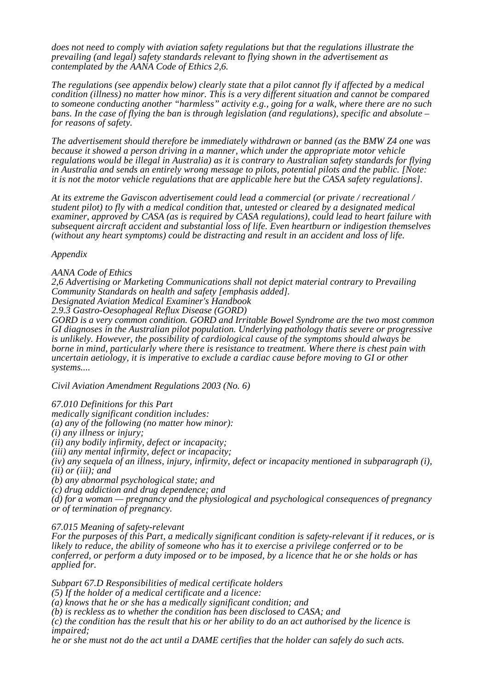*does not need to comply with aviation safety regulations but that the regulations illustrate the prevailing (and legal) safety standards relevant to flying shown in the advertisement as contemplated by the AANA Code of Ethics 2,6.*

*The regulations (see appendix below) clearly state that a pilot cannot fly if affected by a medical condition (illness) no matter how minor. This is a very different situation and cannot be compared to someone conducting another "harmless" activity e.g., going for a walk, where there are no such bans. In the case of flying the ban is through legislation (and regulations), specific and absolute – for reasons of safety.*

*The advertisement should therefore be immediately withdrawn or banned (as the BMW Z4 one was because it showed a person driving in a manner, which under the appropriate motor vehicle regulations would be illegal in Australia) as it is contrary to Australian safety standards for flying in Australia and sends an entirely wrong message to pilots, potential pilots and the public. [Note: it is not the motor vehicle regulations that are applicable here but the CASA safety regulations].*

*At its extreme the Gaviscon advertisement could lead a commercial (or private / recreational / student pilot) to fly with a medical condition that, untested or cleared by a designated medical examiner, approved by CASA (as is required by CASA regulations), could lead to heart failure with subsequent aircraft accident and substantial loss of life. Even heartburn or indigestion themselves (without any heart symptoms) could be distracting and result in an accident and loss of life.*

### *Appendix*

*AANA Code of Ethics*

*2,6 Advertising or Marketing Communications shall not depict material contrary to Prevailing Community Standards on health and safety [emphasis added].*

*Designated Aviation Medical Examiner's Handbook*

*2.9.3 Gastro-Oesophageal Reflux Disease (GORD)*

*GORD is a very common condition. GORD and Irritable Bowel Syndrome are the two most common GI diagnoses in the Australian pilot population. Underlying pathology thatis severe or progressive is unlikely. However, the possibility of cardiological cause of the symptoms should always be borne in mind, particularly where there is resistance to treatment. Where there is chest pain with uncertain aetiology, it is imperative to exclude a cardiac cause before moving to GI or other systems....*

*Civil Aviation Amendment Regulations 2003 (No. 6)*

*67.010 Definitions for this Part*

*medically significant condition includes:* 

*(a) any of the following (no matter how minor):* 

*(i) any illness or injury;* 

*(ii) any bodily infirmity, defect or incapacity;* 

*(iii) any mental infirmity, defect or incapacity;* 

*(iv) any sequela of an illness, injury, infirmity, defect or incapacity mentioned in subparagraph (i), (ii) or (iii); and* 

*(b) any abnormal psychological state; and* 

*(c) drug addiction and drug dependence; and* 

*(d) for a woman — pregnancy and the physiological and psychological consequences of pregnancy or of termination of pregnancy.*

### *67.015 Meaning of safety-relevant*

*For the purposes of this Part, a medically significant condition is safety-relevant if it reduces, or is likely to reduce, the ability of someone who has it to exercise a privilege conferred or to be conferred, or perform a duty imposed or to be imposed, by a licence that he or she holds or has applied for.*

*Subpart 67.D Responsibilities of medical certificate holders*

*(5) If the holder of a medical certificate and a licence:* 

*(a) knows that he or she has a medically significant condition; and* 

*(b) is reckless as to whether the condition has been disclosed to CASA; and* 

*(c) the condition has the result that his or her ability to do an act authorised by the licence is impaired;* 

*he or she must not do the act until a DAME certifies that the holder can safely do such acts.*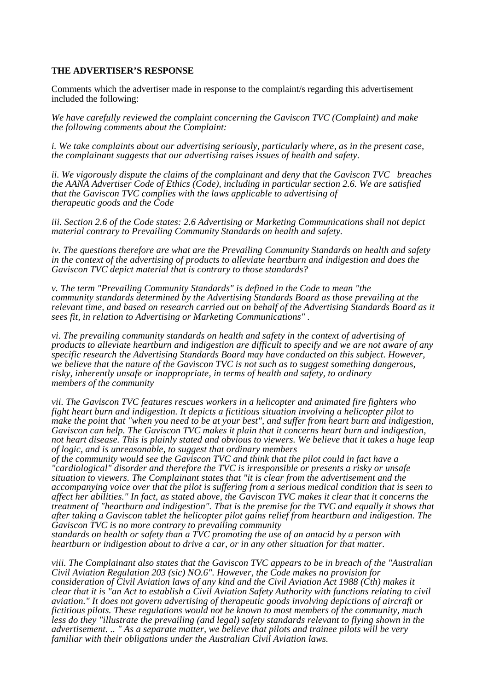#### **THE ADVERTISER'S RESPONSE**

Comments which the advertiser made in response to the complaint/s regarding this advertisement included the following:

*We have carefully reviewed the complaint concerning the Gaviscon TVC (Complaint) and make the following comments about the Complaint:*

*i. We take complaints about our advertising seriously, particularly where, as in the present case, the complainant suggests that our advertising raises issues of health and safety.*

*ii. We vigorously dispute the claims of the complainant and deny that the Gaviscon TVC breaches the AANA Advertiser Code of Ethics (Code), including in particular section 2.6. We are satisfied that the Gaviscon TVC complies with the laws applicable to advertising of therapeutic goods and the Code*

*iii. Section 2.6 of the Code states: 2.6 Advertising or Marketing Communications shall not depict material contrary to Prevailing Community Standards on health and safety.*

*iv. The questions therefore are what are the Prevailing Community Standards on health and safety in the context of the advertising of products to alleviate heartburn and indigestion and does the Gaviscon TVC depict material that is contrary to those standards?*

*v. The term "Prevailing Community Standards" is defined in the Code to mean "the community standards determined by the Advertising Standards Board as those prevailing at the relevant time, and based on research carried out on behalf of the Advertising Standards Board as it sees fit, in relation to Advertising or Marketing Communications" .*

*vi. The prevailing community standards on health and safety in the context of advertising of products to alleviate heartburn and indigestion are difficult to specify and we are not aware of any specific research the Advertising Standards Board may have conducted on this subject. However, we believe that the nature of the Gaviscon TVC is not such as to suggest something dangerous, risky, inherently unsafe or inappropriate, in terms of health and safety, to ordinary members of the community*

*vii. The Gaviscon TVC features rescues workers in a helicopter and animated fire fighters who fight heart burn and indigestion. It depicts a fictitious situation involving a helicopter pilot to make the point that "when you need to be at your best", and suffer from heart burn and indigestion, Gaviscon can help. The Gaviscon TVC makes it plain that it concerns heart burn and indigestion, not heart disease. This is plainly stated and obvious to viewers. We believe that it takes a huge leap of logic, and is unreasonable, to suggest that ordinary members*

*of the community would see the Gaviscon TVC and think that the pilot could in fact have a "cardiological" disorder and therefore the TVC is irresponsible or presents a risky or unsafe situation to viewers. The Complainant states that "it is clear from the advertisement and the accompanying voice over that the pilot is suffering from a serious medical condition that is seen to affect her abilities." In fact, as stated above, the Gaviscon TVC makes it clear that it concerns the treatment of "heartburn and indigestion". That is the premise for the TVC and equally it shows that after taking a Gaviscon tablet the helicopter pilot gains relief from heartburn and indigestion. The Gaviscon TVC is no more contrary to prevailing community*

*standards on health or safety than a TVC promoting the use of an antacid by a person with heartburn or indigestion about to drive a car, or in any other situation for that matter.*

*viii. The Complainant also states that the Gaviscon TVC appears to be in breach of the "Australian Civil Aviation Regulation 203 (sic) NO.6". However, the Code makes no provision for consideration of Civil Aviation laws of any kind and the Civil Aviation Act 1988 (Cth) makes it clear that it is "an Act to establish a Civil Aviation Safety Authority with functions relating to civil aviation." It does not govern advertising of therapeutic goods involving depictions of aircraft or fictitious pilots. These regulations would not be known to most members of the community, much less do they "illustrate the prevailing (and legal) safety standards relevant to flying shown in the advertisement. .. " As a separate matter, we believe that pilots and trainee pilots will be very familiar with their obligations under the Australian Civil Aviation laws.*